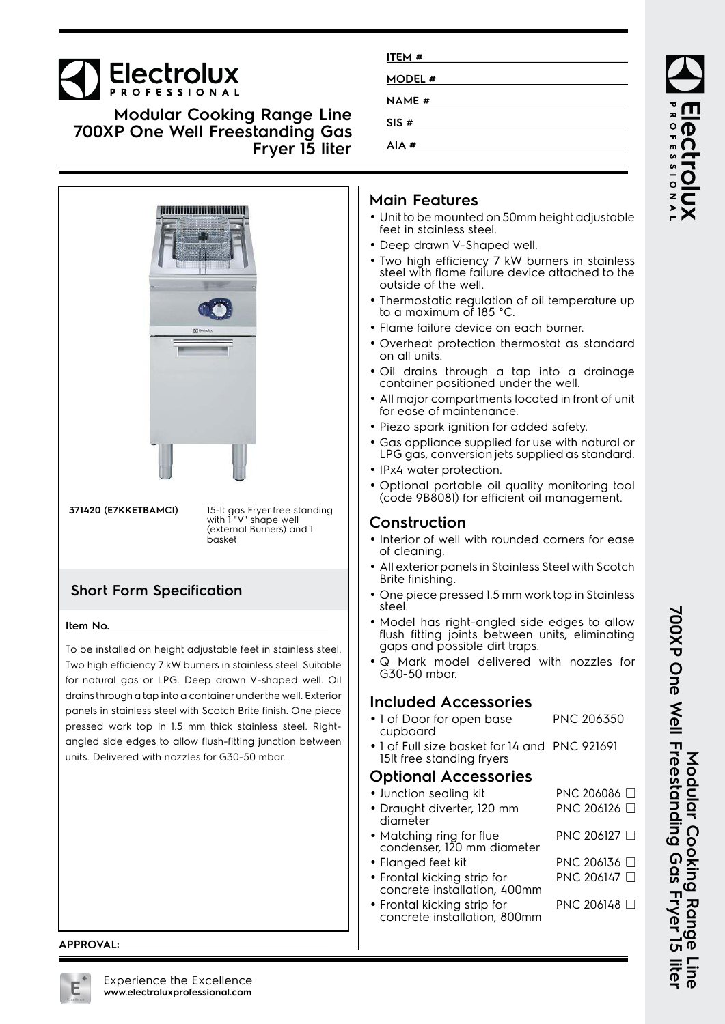# **Electrolux**

**Modular Cooking Range Line 700XP One Well Freestanding Gas Fryer 15 liter**



| ITEM #       |  |  |
|--------------|--|--|
| MODEL #      |  |  |
| <b>NAME#</b> |  |  |
| SIS#         |  |  |
| AIA#         |  |  |

#### **Main Features**

- Unit to be mounted on 50mm height adjustable feet in stainless steel.
- Deep drawn V-Shaped well.
- Two high efficiency 7 kW burners in stainless steel with flame failure device attached to the outside of the well.
- • Thermostatic regulation of oil temperature up to a maximum of 185 °C.
- Flame failure device on each burner.
- Overheat protection thermostat as standard on all units.
- Oil drains through a tap into a drainage container positioned under the well.
- • All major compartments located in front of unit for ease of maintenance.
- Piezo spark ignition for added safety.
- • Gas appliance supplied for use with natural or LPG gas, conversion jets supplied as standard.
- IPx4 water protection.
- Optional portable oil quality monitoring tool (code 9B8081) for efficient oil management.

### **Construction**

- Interior of well with rounded corners for ease of cleaning.
- • All exterior panels in Stainless Steel with Scotch Brite finishing.
- One piece pressed 1.5 mm work top in Stainless steel.
- Model has right-angled side edges to allow flush fitting joints between units, eliminating gaps and possible dirt traps.
- Q Mark model delivered with nozzles for G30-50 mbar.

#### **Included Accessories**

- 1 of Door for open base cupboard PNC 206350
- 1 of Full size basket for 14 and PNC 921691 15lt free standing fryers

#### **Optional Accessories**

| • Junction sealing kit                                      | PNC 206086 □ |
|-------------------------------------------------------------|--------------|
| · Draught diverter, 120 mm<br>diameter                      | PNC 206126 □ |
| • Matching ring for flue<br>condenser, 120 mm diameter      | PNC 206127 Q |
| • Flanged feet kit                                          | PNC 206136 Q |
| • Frontal kicking strip for<br>concrete installation, 400mm | PNC 206147 Q |
| • Frontal kicking strip for<br>concrete installation, 800mm | PNC 206148 □ |
|                                                             |              |

**APPROVAL:**

700XP One Well Freestanding Gas Fryer 15 liter **700XP One Well Freestanding Gas Fryer 15 liter** Modular Cooking Range **Modular Cooking Range Line**

ROFESSIONA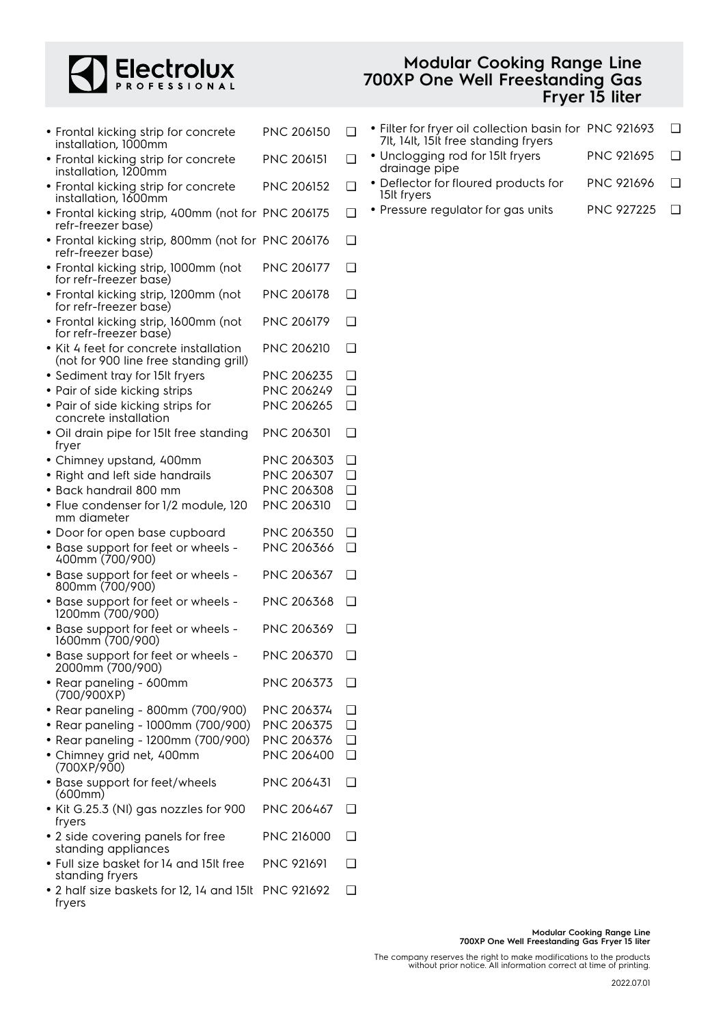

#### **Modular Cooking Range Line 700XP One Well Freestanding Gas Fryer 15 liter**

| • Frontal kicking strip for concrete<br>installation, 1000mm                     | <b>PNC 206150</b> | ❏      |
|----------------------------------------------------------------------------------|-------------------|--------|
| • Frontal kicking strip for concrete<br>installation, 1200mm                     | <b>PNC 206151</b> | □      |
| • Frontal kicking strip for concrete<br>installation, 1600mm                     | PNC 206152        | ◻      |
| • Frontal kicking strip, 400mm (not for PNC 206175<br>refr-freezer base)         |                   | □      |
| · Frontal kicking strip, 800mm (not for PNC 206176<br>refr-freezer base)         |                   | □      |
| · Frontal kicking strip, 1000mm (not<br>for refr-freezer base)                   | PNC 206177        | ❏      |
| · Frontal kicking strip, 1200mm (not<br>for refr-freezer base)                   | PNC 206178        | ◻      |
| • Frontal kicking strip, 1600mm (not<br>for refr-freezer base)                   | PNC 206179        | ◻      |
| • Kit 4 feet for concrete installation<br>(not for 900 line free standing grill) | <b>PNC 206210</b> | ◻      |
| • Sediment tray for 15It fryers                                                  | PNC 206235        | ❏      |
| • Pair of side kicking strips                                                    | PNC 206249        | ◻      |
| • Pair of side kicking strips for<br>concrete installation                       | PNC 206265        | ❏      |
| · Oil drain pipe for 15It free standing<br>fryer                                 | PNC 206301        | ◻      |
| • Chimney upstand, 400mm                                                         | <b>PNC 206303</b> | ❏      |
| • Right and left side handrails                                                  | PNC 206307        | □      |
| • Back handrail 800 mm                                                           | PNC 206308        | ❏      |
| • Flue condenser for 1/2 module, 120<br>mm diameter                              | PNC 206310        | ❏      |
| • Door for open base cupboard                                                    | <b>PNC 206350</b> | □      |
| • Base support for feet or wheels -<br>400mm (700/900)                           | PNC 206366        | ◻      |
| • Base support for feet or wheels -<br>800mm (700/900)                           | PNC 206367        | □      |
| · Base support for feet or wheels -<br>1200mm (700/900)                          | PNC 206368        | □      |
| • Base support for feet or wheels -<br>1600mm (700/900)                          | PNC 206369        | □      |
| • Base support for feet or wheels -<br>2000mm (700/900)                          | PNC 206370        | ❏      |
| • Rear paneling - 600mm<br>(700/900XP)                                           | <b>PNC 206373</b> | ❏      |
| • Rear paneling - 800mm (700/900)                                                | PNC 206374        | ❏      |
| • Rear paneling - 1000mm (700/900)                                               | PNC 206375        | $\Box$ |
| • Rear paneling - 1200mm (700/900)                                               | PNC 206376        | $\Box$ |
| • Chimney grid net, 400mm<br>(700XP/900)                                         | PNC 206400        | ❏      |
| • Base support for feet/wheels<br>(600mm)                                        | <b>PNC 206431</b> | ❏      |
| • Kit G.25.3 (NI) gas nozzles for 900<br>fryers                                  | PNC 206467        | ப      |
| • 2 side covering panels for free<br>standing appliances                         | <b>PNC 216000</b> | ◘      |
| • Full size basket for 14 and 15It free<br>standing fryers                       | <b>PNC 921691</b> | n      |
| . 2 half size baskets for 12, 14 and 15It PNC 921692<br>fryers                   |                   | ❏      |

| • Filter for fryer oil collection basin for PNC 921693 | ❏ |
|--------------------------------------------------------|---|
| 7lt, 14lt, 15lt free standing fryers                   |   |
|                                                        |   |

- Unclogging rod for 15lt fryers drainage pipe PNC 921695 ❑
- Deflector for floured products for 15lt fryers PNC 921696 ❑
- Pressure regulator for gas units PNC 927225 □